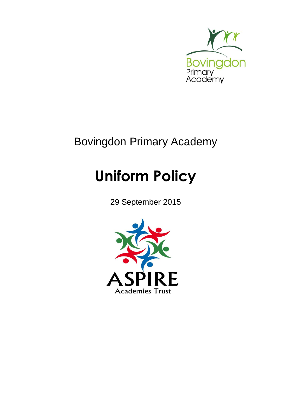

## Bovingdon Primary Academy

# **Uniform Policy**

29 September 2015

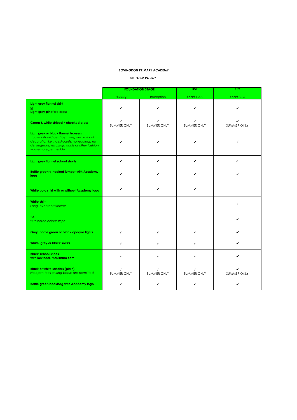#### **BOVINGDON PRIMARY ACADEMY**

#### **UNIFORM POLICY**

|                                                                                                                                                                                                                  | <b>FOUNDATION STAGE</b>            |                         | KS <sub>1</sub>                    | KS2                     |
|------------------------------------------------------------------------------------------------------------------------------------------------------------------------------------------------------------------|------------------------------------|-------------------------|------------------------------------|-------------------------|
|                                                                                                                                                                                                                  | <b>Nursery</b>                     | Reception               | Years 1 & 2                        | Years $3 - 6$           |
| Light grey flannel skirt<br>or.<br>Light grey pinafore dress                                                                                                                                                     | ✓                                  | ✓                       | ✓                                  | ✓                       |
| Green & white striped / checked dress                                                                                                                                                                            | $\checkmark$<br><b>SUMMER ONLY</b> | ✓<br><b>SUMMER ONLY</b> | $\checkmark$<br><b>SUMMER ONLY</b> | ✓<br><b>SUMMER ONLY</b> |
| Light grey or black flannel trousers<br>Trousers should be straight-leg and without<br>decoration i.e. no ski-pants, no leggings, no<br>denim/jeans, no cargo pants or other fashion<br>trousers are permissible | ✓                                  | ✓                       | ✓                                  | ✓                       |
| Light grey flannel school shorts                                                                                                                                                                                 | ✓                                  | ✓                       | $\checkmark$                       | ✓                       |
| <b>Bottle green v-necked jumper with Academy</b><br>logo                                                                                                                                                         | ✓                                  | ✓                       | ✓                                  | ✔                       |
| White polo shirt with or without Academy logo                                                                                                                                                                    | ✓                                  | ✓                       | ✓                                  |                         |
| White shirt<br>Long, 3/4 or short sleeves                                                                                                                                                                        |                                    |                         |                                    | ✓                       |
| Tie:<br>with house colour stripe                                                                                                                                                                                 |                                    |                         |                                    | ✓                       |
| Grey, bottle green or black opaque tights                                                                                                                                                                        | ✓                                  | ✓                       | ✓                                  | ✓                       |
| White, grey or black socks                                                                                                                                                                                       | ✓                                  | ✓                       | ✓                                  | ✓                       |
| <b>Black school shoes</b><br>with low heel, maximum 4cm                                                                                                                                                          | ✓                                  | ✓                       | ✓                                  | ✓                       |
| <b>Black or white sandals (plain)</b><br>No open-toes or sling-backs are permitted                                                                                                                               | ✓<br><b>SUMMER ONLY</b>            | ✓<br><b>SUMMER ONLY</b> | ✓<br><b>SUMMER ONLY</b>            | ✓<br><b>SUMMER ONLY</b> |
| Bottle green bookbag with Academy logo                                                                                                                                                                           | ✓                                  | ✓                       | ✓                                  | ✓                       |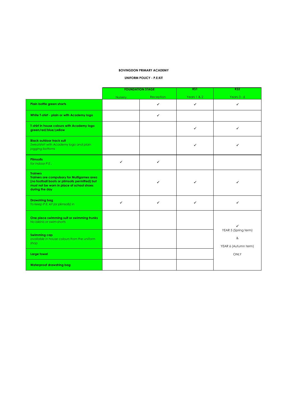#### **BOVINGDON PRIMARY ACADEMY**

**UNIFORM POLICY - P.E.KIT**

|                                                                                                                                                                                        | <b>FOUNDATION STAGE</b> |              | KS1          | KS <sub>2</sub>                                      |
|----------------------------------------------------------------------------------------------------------------------------------------------------------------------------------------|-------------------------|--------------|--------------|------------------------------------------------------|
|                                                                                                                                                                                        | Nursery                 | Reception    | Years 1 & 2  | Years $3 - 6$                                        |
| Plain bottle green shorts                                                                                                                                                              |                         | ✓            | ✓            | $\checkmark$                                         |
| White T-shirt - plain or with Academy logo                                                                                                                                             |                         | $\checkmark$ |              |                                                      |
| T-shirt in house colours with Academy logo<br>green/red/blue/yellow                                                                                                                    |                         |              | ✓            | ✓                                                    |
| <b>Black outdoor track suit</b><br>Sweatshirt with Academy logo and plain<br>jogging bottoms                                                                                           |                         |              | $\checkmark$ | $\checkmark$                                         |
| <b>Plimsolls</b><br>for indoor P.E.                                                                                                                                                    | ✓                       | ✓            |              |                                                      |
| <b>Trainers</b><br><b>Trainers are compulsory for Multigames area</b><br>(no football boots or plimsolls permitted) but<br>must not be worn in place of school shoes<br>during the day |                         | ✓            | ✓            | $\checkmark$                                         |
| <b>Drawstring bag</b><br>To keep P.E. kit (or plimsolls) in                                                                                                                            | $\checkmark$            | ✓            | $\checkmark$ | $\checkmark$                                         |
| One piece swimming suit or swimming trunks<br>No bikinis or swim-shorts                                                                                                                |                         |              |              | ✓                                                    |
| <b>Swimming cap</b><br>available in house colours from the uniform<br>shop                                                                                                             |                         |              |              | YEAR 5 (Spring term)<br>$\&$<br>YEAR 6 (Autumn term) |
| Large towel                                                                                                                                                                            |                         |              |              | ONLY                                                 |
| <b>Waterproof drawstring bag</b>                                                                                                                                                       |                         |              |              |                                                      |